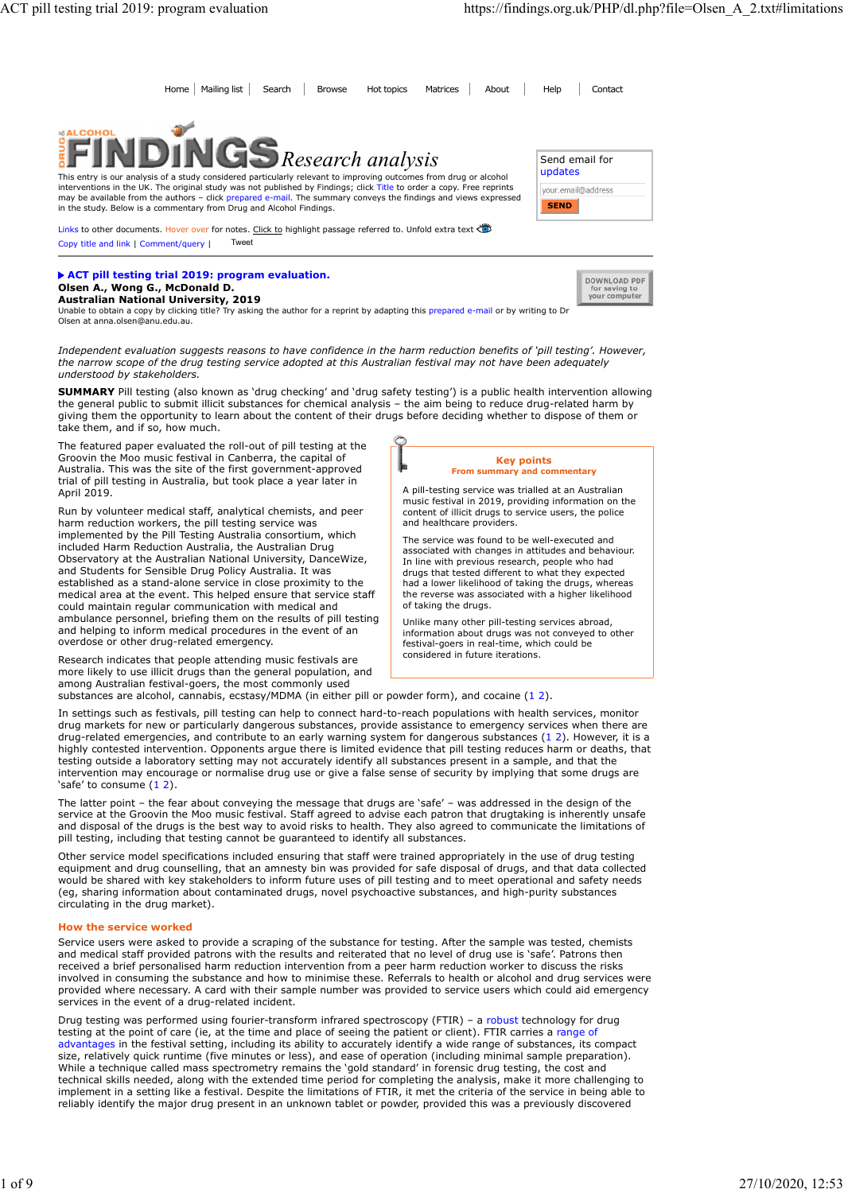for saving to<br>your computer

| ACT pill testing trial 2019: program evaluation                                                                                                                                                                                                                                                                                                                                                                                      | https://findings.org.uk/PHP/dl.php?file=Olsen_A_2.txt#limitations |
|--------------------------------------------------------------------------------------------------------------------------------------------------------------------------------------------------------------------------------------------------------------------------------------------------------------------------------------------------------------------------------------------------------------------------------------|-------------------------------------------------------------------|
|                                                                                                                                                                                                                                                                                                                                                                                                                                      |                                                                   |
| Home   Mailing list<br>Search<br><b>Hot topics</b><br>Browse<br>Matrices                                                                                                                                                                                                                                                                                                                                                             | Help<br>About<br>Contact                                          |
| <b>&amp;ALCOHOL</b><br><b>INGS</b> Research analysis                                                                                                                                                                                                                                                                                                                                                                                 | Send email for                                                    |
| This entry is our analysis of a study considered particularly relevant to improving outcomes from drug or alcohol<br>interventions in the UK. The original study was not published by Findings; click Title to order a copy. Free reprints<br>may be available from the authors - click prepared e-mail. The summary conveys the findings and views expressed<br>in the study. Below is a commentary from Drug and Alcohol Findings. | updates<br>your.email@address<br><b>SEND</b>                      |
| Links to other documents. Hover over for notes. Click to highlight passage referred to. Unfold extra text<br>Copy title and link   Comment/query  <br>Tweet                                                                                                                                                                                                                                                                          |                                                                   |
|                                                                                                                                                                                                                                                                                                                                                                                                                                      |                                                                   |

Olsen A., Wong G., McDonald D. **Australian National University, 2019**<br>Unable to obtain a copy by clicking title? Try asking the author for a reprint by adapting this prepared e-mail or by writing to Dr<br>Olsen at anna.olsen@anu.edu.au.

Independent evaluation suggests reasons to have confidence in the harm reduction benefits of 'pill testing'. However, the narrow scope of the drug testing service adopted at this Australian festival may not have been adequately understood by stakeholders.

SUMMARY Pill testing (also known as 'drug checking' and 'drug safety testing') is a public health intervention allowing the general public to submit illicit substances for chemical analysis – the aim being to reduce drug-related harm by giving them the opportunity to learn about the content of their drugs before deciding whether to dispose of them or take them, and if so, how much.

The featured paper evaluated the roll-out of pill testing at the Groovin the Moo music festival in Canberra, the capital of Australia. This was the site of the first government-approved trial of pill testing in Australia, but took place a year later in April 2019.

Run by volunteer medical staff, analytical chemists, and peer harm reduction workers, the pill testing service was implemented by the Pill Testing Australia consortium, which included Harm Reduction Australia, the Australian Drug Observatory at the Australian National University, DanceWize, and Students for Sensible Drug Policy Australia. It was established as a stand-alone service in close proximity to the medical area at the event. This helped ensure that service staff could maintain regular communication with medical and ambulance personnel, briefing them on the results of pill testing and helping to inform medical procedures in the event of an overdose or other drug-related emergency. stances are also designed are also interest are also the confidence in the harm reduction hended of phil testing "interesting in the contents of phil or power and the contents of pair and the contents of pair and the conte

Research indicates that people attending music festivals are more likely to use illicit drugs than the general population, and among Australian festival-goers, the most commonly used<br>substances are alcohol, cannabis, ecstasy/MDMA (in either pill or powder form), and cocaine  $(1\ 2)$ .

#### Key points From summary and commentary

A pill-testing service was trialled at an Australian music festival in 2019, providing information on the content of illicit drugs to service users, the police and healthcare providers.

The service was found to be well-executed and associated with changes in attitudes and behaviour. In line with previous research, people who had drugs that tested different to what they expected had a lower likelihood of taking the drugs, whereas the reverse was associated with a higher likelihood of taking the drugs.

Unlike many other pill-testing services abroad, information about drugs was not conveyed to other festival-goers in real-time, which could be considered in future iterations.

In settings such as festivals, pill testing can help to connect hard-to-reach populations with health services, monitor drug markets for new or particularly dangerous substances, provide assistance to emergency services when there are the angle of the stationary and contribute to any of the beam and contribute to any of the stationary in the stationary in the stationary in the stationary in the stationary in the stationary in the stationary in the stat highly contested intervention. Opponents argue there is limited evidence that pill testing reduces harm or deaths, that testing outside a laboratory setting may not accurately identify all substances present in a sample, and that the intervention may encourage or normalise drug use or give a false sense of security by implying that some drugs are We head to consume that samely the samely the samely selected in the samely selected in the samely determined by the property of the consumer to the particular the consumer of the consumer of the consumer consumer to the m

The latter point – the fear about conveying the message that drugs are 'safe' – was addressed in the design of the service at the Groovin the Moo music festival. Staff agreed to advise each patron that drugtaking is inherently unsafe and disposal of the drugs is the best way to avoid risks to health. They also agreed to communicate the limitations of pill testing, including that testing cannot be guaranteed to identify all substances.

Other service model specifications included ensuring that staff were trained appropriately in the use of drug testing equipment and drug counselling, that an amnesty bin was provided for safe disposal of drugs, and that data collected would be shared with key stakeholders to inform future uses of pill testing and to meet operational and safety needs (eg, sharing information about contaminated drugs, novel psychoactive substances, and high-purity substances circulating in the drug market).

# How the service worked

Service users were asked to provide a scraping of the substance for testing. After the sample was tested, chemists and medical staff provided patrons with the results and reiterated that no level of drug use is 'safe'. Patrons then received a brief personalised harm reduction intervention from a peer harm reduction worker to discuss the risks involved in consuming the substance and how to minimise these. Referrals to health or alcohol and drug services were provided where necessary. A card with their sample number was provided to service users which could aid emergency services in the event of a drug-related incident.

Drug testing was performed using fourier-transform infrared spectroscopy (FTIR) – a robust technology for drug testing at the point of care (ie, at the time and place of seeing the patient or client). FTIR carries a range of advantages in the festival setting, including its ability to accurately identify a wide range of substances, its compact size, relatively quick runtime (five minutes or less), and ease of operation (including minimal sample preparation). While a technique called mass spectrometry remains the 'gold standard' in forensic drug testing, the cost and technical skills needed, along with the extended time period for completing the analysis, make it more challenging to implement in a setting like a festival. Despite the limitations of FTIR, it met the criteria of the service in being able to reliably identify the major drug present in an unknown tablet or powder, provided this was a previously discovered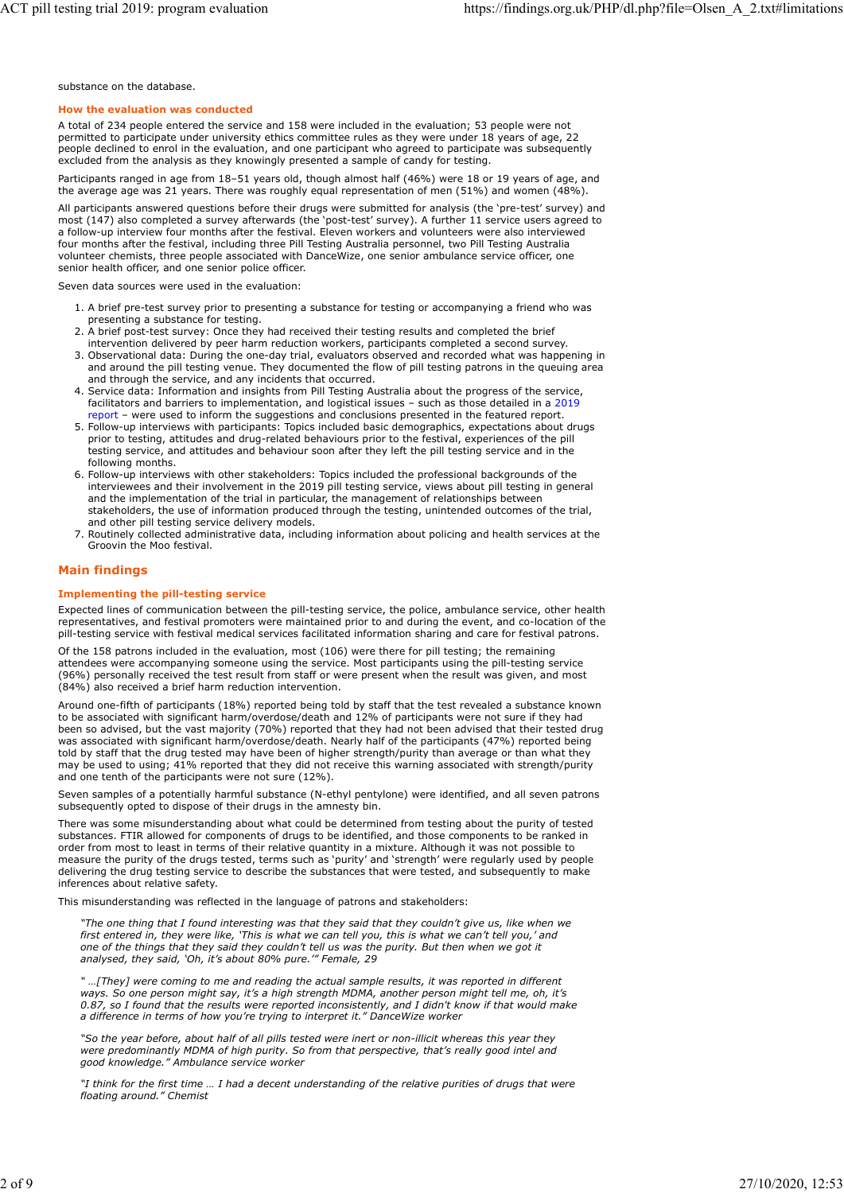substance on the database.

### How the evaluation was conducted

A total of 234 people entered the service and 158 were included in the evaluation; 53 people were not permitted to participate under university ethics committee rules as they were under 18 years of age, 22 people declined to enrol in the evaluation, and one participant who agreed to participate was subsequently excluded from the analysis as they knowingly presented a sample of candy for testing.

Participants ranged in age from 18–51 years old, though almost half (46%) were 18 or 19 years of age, and the average age was 21 years. There was roughly equal representation of men (51%) and women (48%).

All participants answered questions before their drugs were submitted for analysis (the 'pre-test' survey) and most (147) also completed a survey afterwards (the 'post-test' survey). A further 11 service users agreed to a follow-up interview four months after the festival. Eleven workers and volunteers were also interviewed four months after the festival, including three Pill Testing Australia personnel, two Pill Testing Australia volunteer chemists, three people associated with DanceWize, one senior ambulance service officer, one senior health officer, and one senior police officer.

Seven data sources were used in the evaluation:

- 1. A brief pre-test survey prior to presenting a substance for testing or accompanying a friend who was presenting a substance for testing.
- 2. A brief post-test survey: Once they had received their testing results and completed the brief
- intervention delivered by peer harm reduction workers, participants completed a second survey. 3. Observational data: During the one-day trial, evaluators observed and recorded what was happening in and around the pill testing venue. They documented the flow of pill testing patrons in the queuing area and through the service, and any incidents that occurred.
- 4. Service data: Information and insights from Pill Testing Australia about the progress of the service, facilitators and barriers to implementation, and logistical issues – such as those detailed in a 2019 eport – were used to inform the suggestions and conclusions presented in the featured report.
- 5. Follow-up interviews with participants: Topics included basic demographics, expectations about drugs prior to testing, attitudes and drug-related behaviours prior to the festival, experiences of the pill testing service, and attitudes and behaviour soon after they left the pill testing service and in the following months.
- 6. Follow-up interviews with other stakeholders: Topics included the professional backgrounds of the interviewees and their involvement in the 2019 pill testing service, views about pill testing in general and the implementation of the trial in particular, the management of relationships between stakeholders, the use of information produced through the testing, unintended outcomes of the trial, and other pill testing service delivery models.
- 7. Routinely collected administrative data, including information about policing and health services at the Groovin the Moo festival.

# Main findings

## Implementing the pill-testing service

Expected lines of communication between the pill-testing service, the police, ambulance service, other health representatives, and festival promoters were maintained prior to and during the event, and co-location of the pill-testing service with festival medical services facilitated information sharing and care for festival patrons.

Of the 158 patrons included in the evaluation, most (106) were there for pill testing; the remaining attendees were accompanying someone using the service. Most participants using the pill-testing service (96%) personally received the test result from staff or were present when the result was given, and most (84%) also received a brief harm reduction intervention.

Around one-fifth of participants (18%) reported being told by staff that the test revealed a substance known to be associated with significant harm/overdose/death and 12% of participants were not sure if they had been so advised, but the vast majority (70%) reported that they had not been advised that their tested drug was associated with significant harm/overdose/death. Nearly half of the participants (47%) reported being told by staff that the drug tested may have been of higher strength/purity than average or than what they may be used to using; 41% reported that they did not receive this warning associated with strength/purity and one tenth of the participants were not sure (12%).

Seven samples of a potentially harmful substance (N-ethyl pentylone) were identified, and all seven patrons subsequently opted to dispose of their drugs in the amnesty bin.

There was some misunderstanding about what could be determined from testing about the purity of tested substances. FTIR allowed for components of drugs to be identified, and those components to be ranked in order from most to least in terms of their relative quantity in a mixture. Although it was not possible to measure the purity of the drugs tested, terms such as 'purity' and 'strength' were regularly used by people delivering the drug testing service to describe the substances that were tested, and subsequently to make inferences about relative safety.

This misunderstanding was reflected in the language of patrons and stakeholders:

"The one thing that I found interesting was that they said that they couldn't give us, like when we first entered in, they were like, 'This is what we can tell you, this is what we can't tell you,' and one of the things that they said they couldn't tell us was the purity. But then when we got it analysed, they said, 'Oh, it's about 80% pure.'" Female, 29

" …[They] were coming to me and reading the actual sample results, it was reported in different ways. So one person might say, it's a high strength MDMA, another person might tell me, oh, it's 0.87, so I found that the results were reported inconsistently, and I didn't know if that would make a difference in terms of how you're trying to interpret it." DanceWize worker

"So the year before, about half of all pills tested were inert or non-illicit whereas this year they were predominantly MDMA of high purity. So from that perspective, that's really good intel and good knowledge." Ambulance service worker

"I think for the first time … I had a decent understanding of the relative purities of drugs that were floating around." Chemist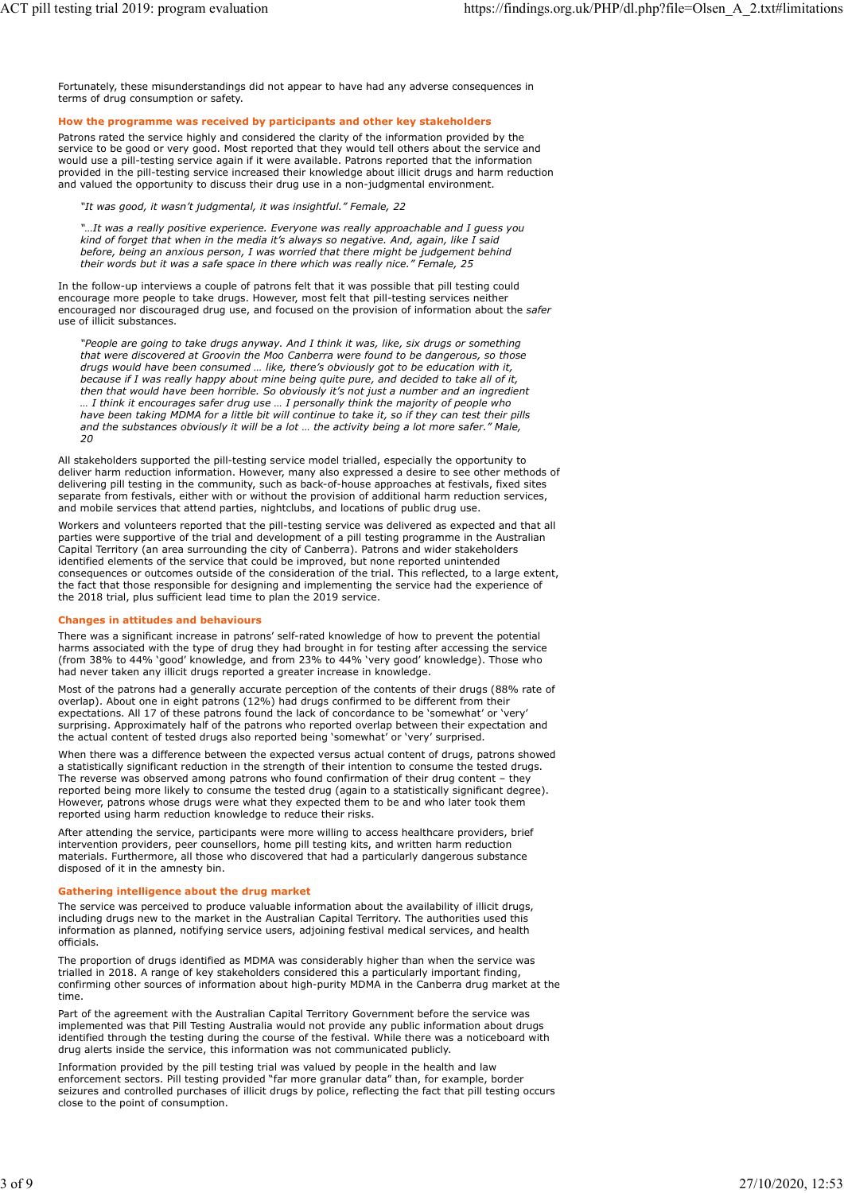Fortunately, these misunderstandings did not appear to have had any adverse consequences in terms of drug consumption or safety. ACT pill testing trial 2019: program evaluation https://findings.org.uk/PHP/dl.php?file=Olsen\_A\_2.txt#limitations<br>
Fortunately, these misunderstandings did not appear to have had any adverse consequences in<br>
terms of drug

### How the programme was received by participants and other key stakeholders

Patrons rated the service highly and considered the clarity of the information provided by the service to be good or very good. Most reported that they would tell others about the service and would use a pill-testing service again if it were available. Patrons reported that the information provided in the pill-testing service increased their knowledge about illicit drugs and harm reduction and valued the opportunity to discuss their drug use in a non-judgmental environment.

# "It was good, it wasn't judgmental, it was insightful." Female, 22

"…It was a really positive experience. Everyone was really approachable and I guess you kind of forget that when in the media it's always so negative. And, again, like I said before, being an anxious person, I was worried that there might be judgement behind their words but it was a safe space in there which was really nice." Female, 25

In the follow-up interviews a couple of patrons felt that it was possible that pill testing could encourage more people to take drugs. However, most felt that pill-testing services neither encouraged nor discouraged drug use, and focused on the provision of information about the safer use of illicit substances.

"People are going to take drugs anyway. And I think it was, like, six drugs or something that were discovered at Groovin the Moo Canberra were found to be dangerous, so those drugs would have been consumed … like, there's obviously got to be education with it, because if I was really happy about mine being quite pure, and decided to take all of it, then that would have been horrible. So obviously it's not just a number and an ingredient … I think it encourages safer drug use … I personally think the majority of people who have been taking MDMA for a little bit will continue to take it, so if they can test their pills and the substances obviously it will be a lot … the activity being a lot more safer." Male, 20

All stakeholders supported the pill-testing service model trialled, especially the opportunity to deliver harm reduction information. However, many also expressed a desire to see other methods of delivering pill testing in the community, such as back-of-house approaches at festivals, fixed sites separate from festivals, either with or without the provision of additional harm reduction services, and mobile services that attend parties, nightclubs, and locations of public drug use.

Workers and volunteers reported that the pill-testing service was delivered as expected and that all parties were supportive of the trial and development of a pill testing programme in the Australian Capital Territory (an area surrounding the city of Canberra). Patrons and wider stakeholders identified elements of the service that could be improved, but none reported unintended consequences or outcomes outside of the consideration of the trial. This reflected, to a large extent, the fact that those responsible for designing and implementing the service had the experience of the 2018 trial, plus sufficient lead time to plan the 2019 service.

### Changes in attitudes and behaviours

There was a significant increase in patrons' self-rated knowledge of how to prevent the potential harms associated with the type of drug they had brought in for testing after accessing the service (from 38% to 44% 'good' knowledge, and from 23% to 44% 'very good' knowledge). Those who had never taken any illicit drugs reported a greater increase in knowledge.

Most of the patrons had a generally accurate perception of the contents of their drugs (88% rate of overlap). About one in eight patrons (12%) had drugs confirmed to be different from their expectations. All 17 of these patrons found the lack of concordance to be 'somewhat' or 'very' surprising. Approximately half of the patrons who reported overlap between their expectation and the actual content of tested drugs also reported being 'somewhat' or 'very' surprised.

When there was a difference between the expected versus actual content of drugs, patrons showed a statistically significant reduction in the strength of their intention to consume the tested drugs. The reverse was observed among patrons who found confirmation of their drug content - they reported being more likely to consume the tested drug (again to a statistically significant degree). However, patrons whose drugs were what they expected them to be and who later took them reported using harm reduction knowledge to reduce their risks.

After attending the service, participants were more willing to access healthcare providers, brief intervention providers, peer counsellors, home pill testing kits, and written harm reduction materials. Furthermore, all those who discovered that had a particularly dangerous substance disposed of it in the amnesty bin.

### Gathering intelligence about the drug market

The service was perceived to produce valuable information about the availability of illicit drugs, including drugs new to the market in the Australian Capital Territory. The authorities used this information as planned, notifying service users, adjoining festival medical services, and health officials.

The proportion of drugs identified as MDMA was considerably higher than when the service was trialled in 2018. A range of key stakeholders considered this a particularly important finding, confirming other sources of information about high-purity MDMA in the Canberra drug market at the time.

Part of the agreement with the Australian Capital Territory Government before the service was implemented was that Pill Testing Australia would not provide any public information about drugs identified through the testing during the course of the festival. While there was a noticeboard with drug alerts inside the service, this information was not communicated publicly.

Information provided by the pill testing trial was valued by people in the health and law enforcement sectors. Pill testing provided "far more granular data" than, for example, border seizures and controlled purchases of illicit drugs by police, reflecting the fact that pill testing occurs close to the point of consumption.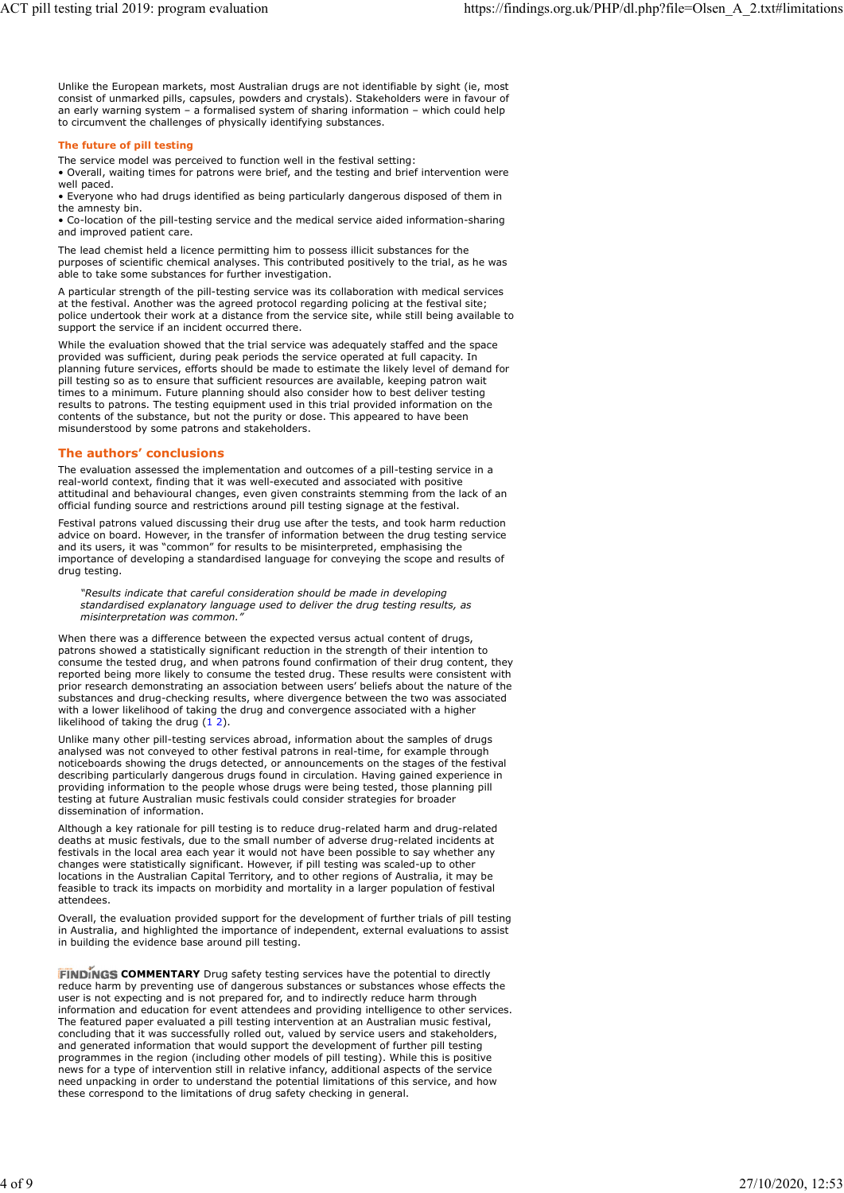Unlike the European markets, most Australian drugs are not identifiable by sight (ie, most consist of unmarked pills, capsules, powders and crystals). Stakeholders were in favour of an early warning system – a formalised system of sharing information – which could help to circumvent the challenges of physically identifying substances. ACT pill testing trial 2019: program evaluation https://findings.org.uk/PHP/dl.php?file=Olsen\_A\_2.txt#limitations<br>Unlike the European markets, most Australian drugs are not identifiable by sight (ie, most<br>consist of unmark

### The future of pill testing

The service model was perceived to function well in the festival setting:

• Overall, waiting times for patrons were brief, and the testing and brief intervention were well paced.

• Everyone who had drugs identified as being particularly dangerous disposed of them in the amnesty bin.

• Co-location of the pill-testing service and the medical service aided information-sharing and improved patient care.

The lead chemist held a licence permitting him to possess illicit substances for the purposes of scientific chemical analyses. This contributed positively to the trial, as he was able to take some substances for further investigation.

A particular strength of the pill-testing service was its collaboration with medical services at the festival. Another was the agreed protocol regarding policing at the festival site; police undertook their work at a distance from the service site, while still being available to support the service if an incident occurred there.

While the evaluation showed that the trial service was adequately staffed and the space provided was sufficient, during peak periods the service operated at full capacity. In planning future services, efforts should be made to estimate the likely level of demand for pill testing so as to ensure that sufficient resources are available, keeping patron wait times to a minimum. Future planning should also consider how to best deliver testing results to patrons. The testing equipment used in this trial provided information on the contents of the substance, but not the purity or dose. This appeared to have been misunderstood by some patrons and stakeholders.

# The authors' conclusions

The evaluation assessed the implementation and outcomes of a pill-testing service in a real-world context, finding that it was well-executed and associated with positive attitudinal and behavioural changes, even given constraints stemming from the lack of an official funding source and restrictions around pill testing signage at the festival.

Festival patrons valued discussing their drug use after the tests, and took harm reduction advice on board. However, in the transfer of information between the drug testing service and its users, it was "common" for results to be misinterpreted, emphasising the importance of developing a standardised language for conveying the scope and results of drug testing.

"Results indicate that careful consideration should be made in developing standardised explanatory language used to deliver the drug testing results, as misinterpretation was common."

When there was a difference between the expected versus actual content of drugs, patrons showed a statistically significant reduction in the strength of their intention to consume the tested drug, and when patrons found confirmation of their drug content, they reported being more likely to consume the tested drug. These results were consistent with prior research demonstrating an association between users' beliefs about the nature of the substances and drug-checking results, where divergence between the two was associated with a lower likelihood of taking the drug and convergence associated with a higher While the evaluation showed that the irrist series acquatibly starffig and the space.<br>While the wave and the taking the space for the space of the space of the space of the space of the space of the space of the space of t

Unlike many other pill-testing services abroad, information about the samples of drugs analysed was not conveyed to other festival patrons in real-time, for example through noticeboards showing the drugs detected, or announcements on the stages of the festival describing particularly dangerous drugs found in circulation. Having gained experience in providing information to the people whose drugs were being tested, those planning pill testing at future Australian music festivals could consider strategies for broader dissemination of information.

Although a key rationale for pill testing is to reduce drug-related harm and drug-related deaths at music festivals, due to the small number of adverse drug-related incidents at festivals in the local area each year it would not have been possible to say whether any changes were statistically significant. However, if pill testing was scaled-up to other locations in the Australian Capital Territory, and to other regions of Australia, it may be feasible to track its impacts on morbidity and mortality in a larger population of festival attendees.

Overall, the evaluation provided support for the development of further trials of pill testing in Australia, and highlighted the importance of independent, external evaluations to assist in building the evidence base around pill testing.

FINDINGS COMMENTARY Drug safety testing services have the potential to directly reduce harm by preventing use of dangerous substances or substances whose effects the user is not expecting and is not prepared for, and to indirectly reduce harm through information and education for event attendees and providing intelligence to other services. The featured paper evaluated a pill testing intervention at an Australian music festival, concluding that it was successfully rolled out, valued by service users and stakeholders, and generated information that would support the development of further pill testing programmes in the region (including other models of pill testing). While this is positive news for a type of intervention still in relative infancy, additional aspects of the service need unpacking in order to understand the potential limitations of this service, and how these correspond to the limitations of drug safety checking in general.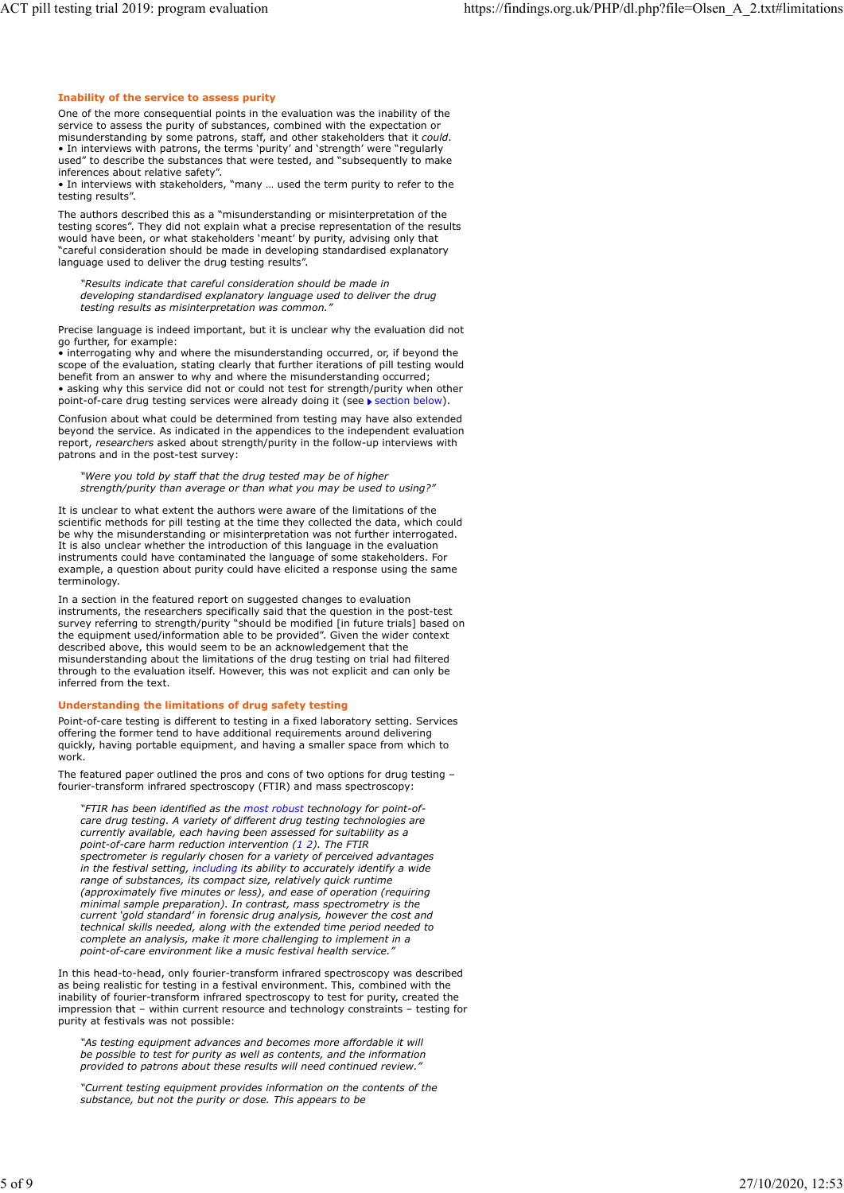#### Inability of the service to assess purity

One of the more consequential points in the evaluation was the inability of the service to assess the purity of substances, combined with the expectation or misunderstanding by some patrons, staff, and other stakeholders that it could. • In interviews with patrons, the terms 'purity' and 'strength' were "regularly used" to describe the substances that were tested, and "subsequently to make inferences about relative safety".

• In interviews with stakeholders, "many … used the term purity to refer to the testing results".

The authors described this as a "misunderstanding or misinterpretation of the testing scores". They did not explain what a precise representation of the results would have been, or what stakeholders 'meant' by purity, advising only that "careful consideration should be made in developing standardised explanatory language used to deliver the drug testing results".

"Results indicate that careful consideration should be made in developing standardised explanatory language used to deliver the drug testing results as misinterpretation was common."

Precise language is indeed important, but it is unclear why the evaluation did not go further, for example:

• interrogating why and where the misunderstanding occurred, or, if beyond the scope of the evaluation, stating clearly that further iterations of pill testing would benefit from an answer to why and where the misunderstanding occurred; • asking why this service did not or could not test for strength/purity when other point-of-care drug testing services were already doing it (see  $\blacktriangleright$  section below).

Confusion about what could be determined from testing may have also extended beyond the service. As indicated in the appendices to the independent evaluation report, researchers asked about strength/purity in the follow-up interviews with patrons and in the post-test survey:

"Were you told by staff that the drug tested may be of higher strength/purity than average or than what you may be used to using?"

It is unclear to what extent the authors were aware of the limitations of the scientific methods for pill testing at the time they collected the data, which could be why the misunderstanding or misinterpretation was not further interrogated. It is also unclear whether the introduction of this language in the evaluation instruments could have contaminated the language of some stakeholders. For example, a question about purity could have elicited a response using the same terminology.

In a section in the featured report on suggested changes to evaluation instruments, the researchers specifically said that the question in the post-test survey referring to strength/purity "should be modified [in future trials] based on the equipment used/information able to be provided". Given the wider context described above, this would seem to be an acknowledgement that the misunderstanding about the limitations of the drug testing on trial had filtered through to the evaluation itself. However, this was not explicit and can only be inferred from the text.

#### Understanding the limitations of drug safety testing

Point-of-care testing is different to testing in a fixed laboratory setting. Services offering the former tend to have additional requirements around delivering quickly, having portable equipment, and having a smaller space from which to work. **With a set of the contract of the contract of the contract of the contract of the contract of the contract of the contract of the contract of the contract of the contract of the contract of the contract of the contr** 

The featured paper outlined the pros and cons of two options for drug testing – fourier-transform infrared spectroscopy (FTIR) and mass spectroscopy:

"FTIR has been identified as the most robust technology for point-ofcare drug testing. A variety of different drug testing technologies are currently available, each having been assessed for suitability as a "We er you food by staff that the drug rested may be of holoner out to the care you can be a more to which we the transition of the limitations of the intervention and the matter to which countervention in the transition spectrometer is regularly chosen for a variety of perceived advantages in the festival setting, including its ability to accurately identify a wide range of substances, its compact size, relatively quick runtime (approximately five minutes or less), and ease of operation (requiring minimal sample preparation). In contrast, mass spectrometry is the current 'gold standard' in forensic drug analysis, however the cost and technical skills needed, along with the extended time period needed to complete an analysis, make it more challenging to implement in a point-of-care environment like a music festival health service."

In this head-to-head, only fourier-transform infrared spectroscopy was described as being realistic for testing in a festival environment. This, combined with the inability of fourier-transform infrared spectroscopy to test for purity, created the impression that – within current resource and technology constraints – testing for purity at festivals was not possible:

"As testing equipment advances and becomes more affordable it will be possible to test for purity as well as contents, and the information provided to patrons about these results will need continued review."

"Current testing equipment provides information on the contents of the substance, but not the purity or dose. This appears to be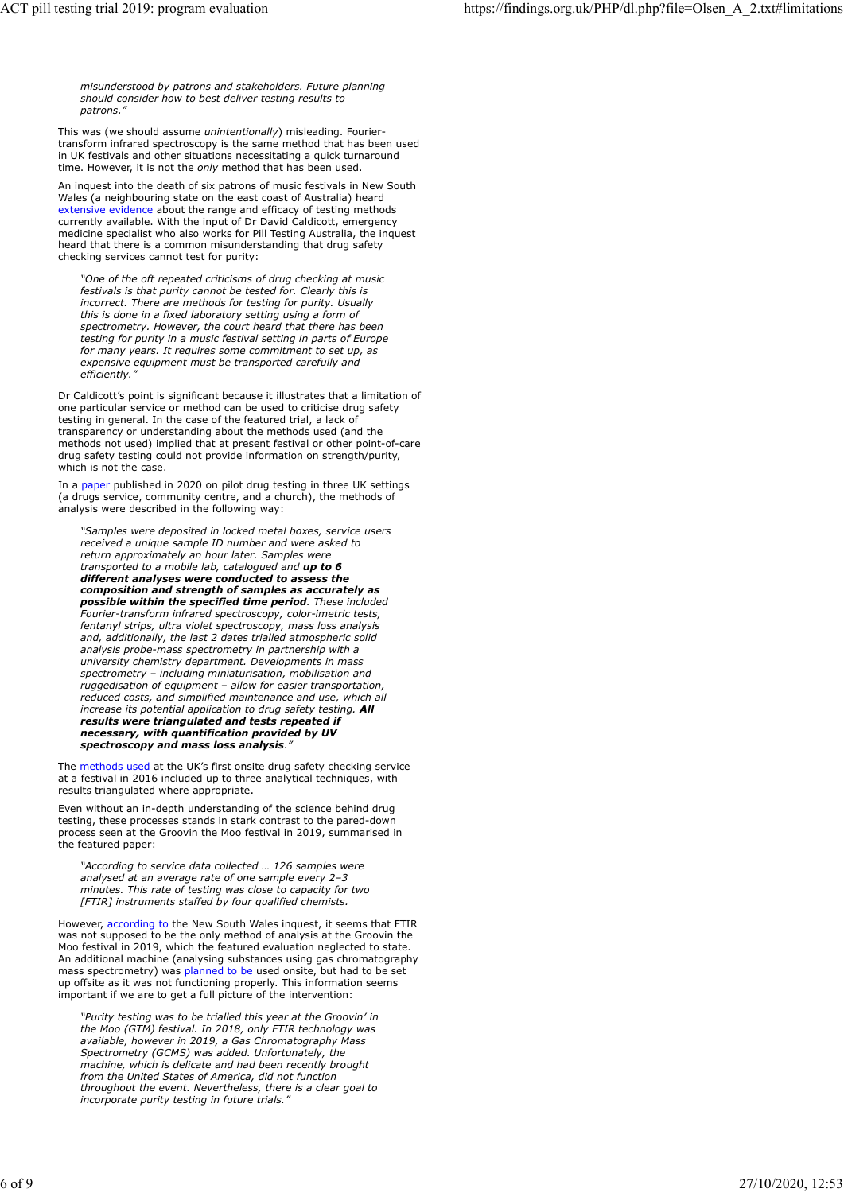misunderstood by patrons and stakeholders. Future planning should consider how to best deliver testing results to patrons." ACT pill testing trial 2019: program evaluation https://findings.org.uk/PHP/dl.php?file=Olsen\_A\_2.txt#limitations<br>
misunderstood by patrons and stakeholders. Future planning<br>
should consider how to best deliver testing res

This was (we should assume unintentionally) misleading. Fouriertransform infrared spectroscopy is the same method that has been used in UK festivals and other situations necessitating a quick turnaround time. However, it is not the only method that has been used

An inquest into the death of six patrons of music festivals in New South Wales (a neighbouring state on the east coast of Australia) heard extensive evidence about the range and efficacy of testing methods currently available. With the input of Dr David Caldicott, emergency medicine specialist who also works for Pill Testing Australia, the inquest heard that there is a common misunderstanding that drug safety checking services cannot test for purity:

"One of the oft repeated criticisms of drug checking at music festivals is that purity cannot be tested for. Clearly this is incorrect. There are methods for testing for purity. Usually this is done in a fixed laboratory setting using a form of spectrometry. However, the court heard that there has been testing for purity in a music festival setting in parts of Europe for many years. It requires some commitment to set up, as expensive equipment must be transported carefully and efficiently.

Dr Caldicott's point is significant because it illustrates that a limitation of one particular service or method can be used to criticise drug safety testing in general. In the case of the featured trial, a lack of transparency or understanding about the methods used (and the methods not used) implied that at present festival or other point-of-care drug safety testing could not provide information on strength/purity, which is not the case.

In a paper published in 2020 on pilot drug testing in three UK settings (a drugs service, community centre, and a church), the methods of analysis were described in the following way:

"Samples were deposited in locked metal boxes, service users received a unique sample ID number and were asked to return approximately an hour later. Samples were transported to a mobile lab, catalogued and up to 6 different analyses were conducted to assess the composition and strength of samples as accurately as possible within the specified time period. These included Fourier-transform infrared spectroscopy, color-imetric tests, fentanyl strips, ultra violet spectroscopy, mass loss analysis and, additionally, the last 2 dates trialled atmospheric solid analysis probe-mass spectrometry in partnership with a university chemistry department. Developments in mass spectrometry – including miniaturisation, mobilisation and ruggedisation of equipment – allow for easier transportation, reduced costs, and simplified maintenance and use, which all increase its potential application to drug safety testing. **All** results were triangulated and tests repeated if necessary, with quantification provided by UV spectroscopy and mass loss analysis.

The methods used at the UK's first onsite drug safety checking service at a festival in 2016 included up to three analytical techniques, with results triangulated where appropriate.

Even without an in-depth understanding of the science behind drug testing, these processes stands in stark contrast to the pared-down process seen at the Groovin the Moo festival in 2019, summarised in the featured paper:

"According to service data collected … 126 samples were analysed at an average rate of one sample every 2–3 minutes. This rate of testing was close to capacity for two [FTIR] instruments staffed by four qualified chemists.

However, according to the New South Wales inquest, it seems that FTIR was not supposed to be the only method of analysis at the Groovin the Moo festival in 2019, which the featured evaluation neglected to state. An additional machine (analysing substances using gas chromatography mass spectrometry) was planned to be used onsite, but had to be set up offsite as it was not functioning properly. This information seems important if we are to get a full picture of the intervention:

"Purity testing was to be trialled this year at the Groovin' in the Moo (GTM) festival. In 2018, only FTIR technology was available, however in 2019, a Gas Chromatography Mass Spectrometry (GCMS) was added. Unfortunately, the machine, which is delicate and had been recently brought from the United States of America, did not function throughout the event. Nevertheless, there is a clear goal to incorporate purity testing in future trials."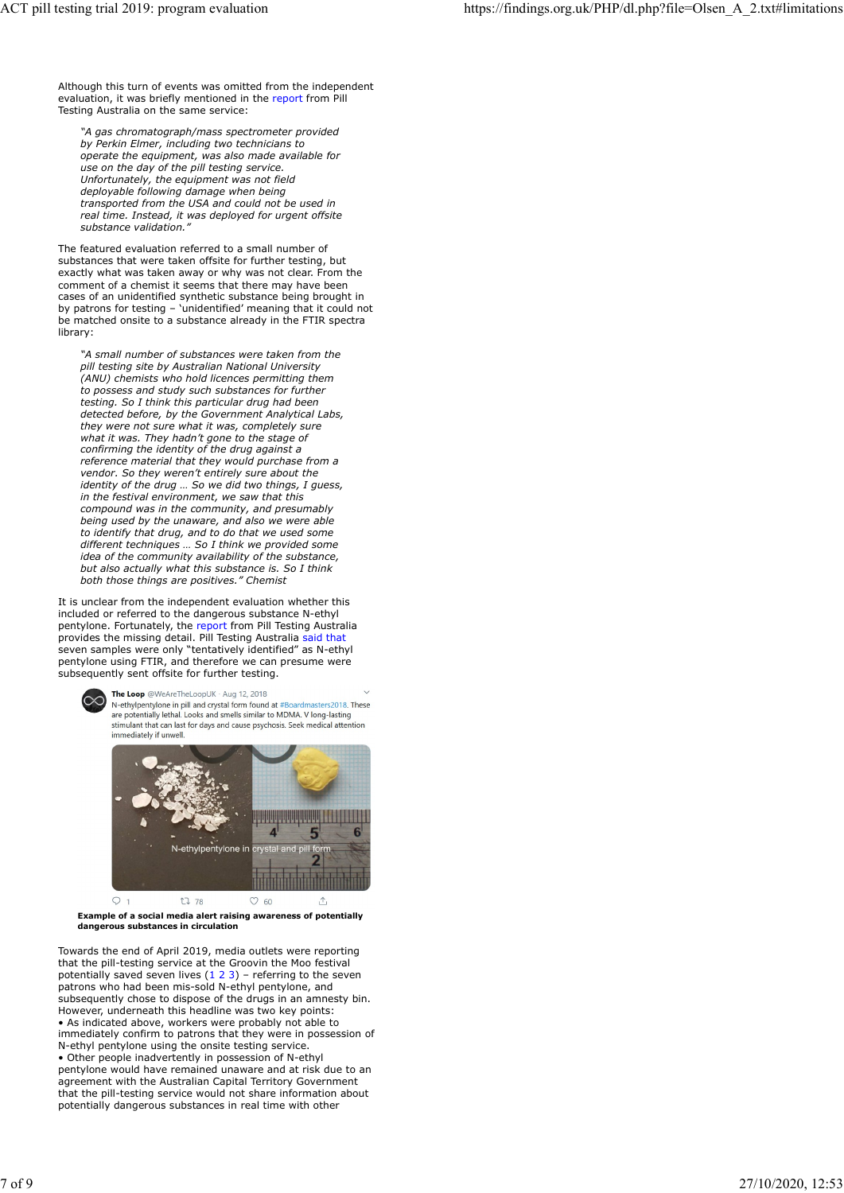Although this turn of events was omitted from the independent evaluation, it was briefly mentioned in the report from Pill Testing Australia on the same service: ACT pill testing trial 2019: program evaluation https://findings.org.uk/PHP/dl.php?file=Olsen\_A\_2.txt#limitations<br>https://findings.org.uk/PHP/dl.php?file=Olsen\_A\_2.txt#limitations<br>Although this turn of events was omitted f

"A gas chromatograph/mass spectrometer provided by Perkin Elmer, including two technicians to operate the equipment, was also made available for use on the day of the pill testing service. Unfortunately, the equipment was not field deployable following damage when being transported from the USA and could not be used in real time. Instead, it was deployed for urgent offsite substance validation."

The featured evaluation referred to a small number of substances that were taken offsite for further testing, but exactly what was taken away or why was not clear. From the comment of a chemist it seems that there may have been cases of an unidentified synthetic substance being brought in by patrons for testing – 'unidentified' meaning that it could not be matched onsite to a substance already in the FTIR spectra library:

"A small number of substances were taken from the pill testing site by Australian National University (ANU) chemists who hold licences permitting them to possess and study such substances for further testing. So I think this particular drug had been detected before, by the Government Analytical Labs, they were not sure what it was, completely sure what it was. They hadn't gone to the stage of confirming the identity of the drug against a reference material that they would purchase from a vendor. So they weren't entirely sure about the identity of the drug … So we did two things, I guess, in the festival environment, we saw that this compound was in the community, and presumably being used by the unaware, and also we were able to identify that drug, and to do that we used some different techniques … So I think we provided some idea of the community availability of the substance, but also actually what this substance is. So I think both those things are positives." Chemist

It is unclear from the independent evaluation whether this included or referred to the dangerous substance N-ethyl pentylone. Fortunately, the report from Pill Testing Australia provides the missing detail. Pill Testing Australia said that seven samples were only "tentatively identified" as N-ethyl pentylone using FTIR, and therefore we can presume were subsequently sent offsite for further testing.





Example of a social media alert raising awareness of potentially dangerous substances in circulation

Towards the end of April 2019, media outlets were reporting that the pill-testing service at the Groovin the Moo festival<br>potentially saved seven lives (1 2 3) – referring to the seven patrons who had been mis-sold N-ethyl pentylone, and subsequently chose to dispose of the drugs in an amnesty bin. However, underneath this headline was two key points: • As indicated above, workers were probably not able to immediately confirm to patrons that they were in possession of N-ethyl pentylone using the onsite testing service. • Other people inadvertently in possession of N-ethyl pentylone would have remained unaware and at risk due to an agreement with the Australian Capital Territory Government that the pill-testing service would not share information about potentially dangerous substances in real time with other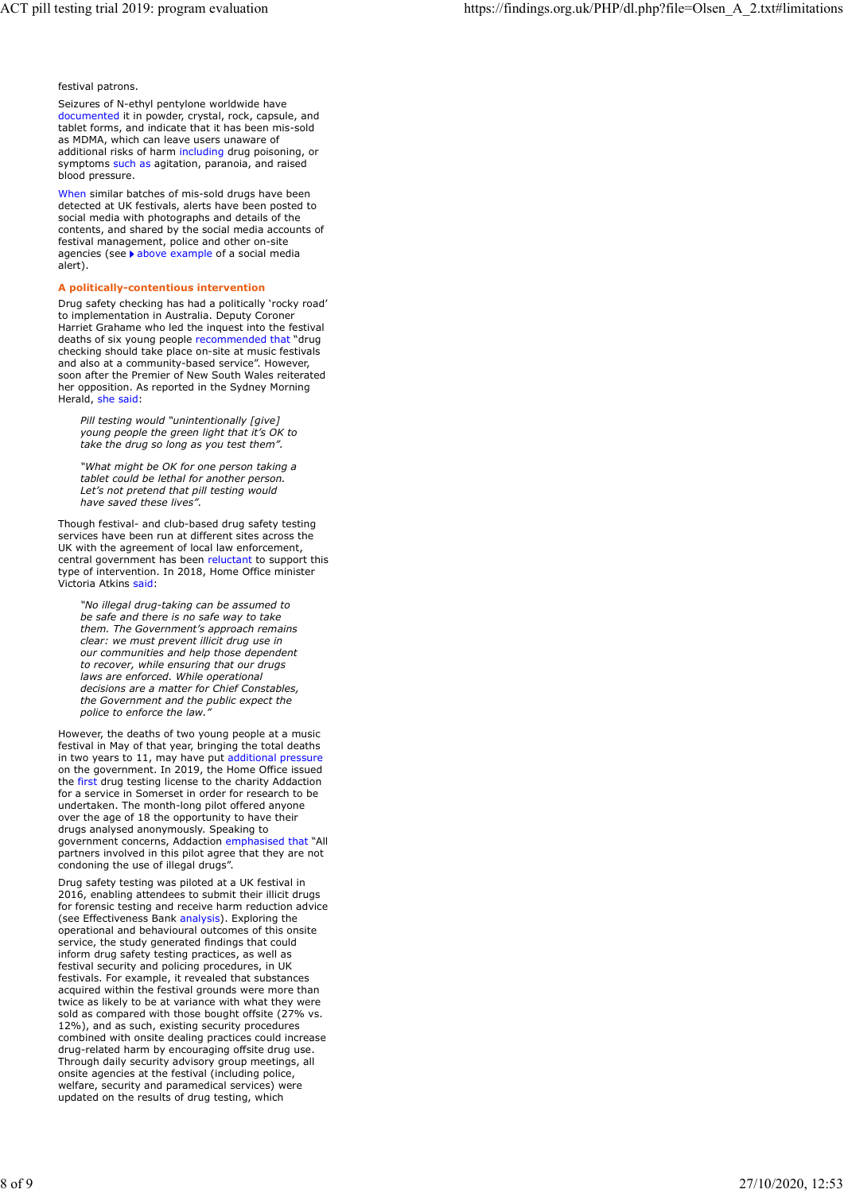festival patrons.

Seizures of N-ethyl pentylone worldwide have documented it in powder, crystal, rock, capsule, and tablet forms, and indicate that it has been mis-sold as MDMA, which can leave users unaware of additional risks of harm including drug poisoning, or symptoms such as agitation, paranoia, and raised blood pressure.

When similar batches of mis-sold drugs have been detected at UK festivals, alerts have been posted to social media with photographs and details of the contents, and shared by the social media accounts of festival management, police and other on-site agencies (see > above example of a social media alert).

## A politically-contentious intervention

Drug safety checking has had a politically 'rocky road' to implementation in Australia. Deputy Coroner Harriet Grahame who led the inquest into the festival deaths of six young people recommended that "drug checking should take place on-site at music festivals and also at a community-based service". However, soon after the Premier of New South Wales reiterated her opposition. As reported in the Sydney Morning Herald, she said:

Pill testing would "unintentionally [give] young people the green light that it's OK to take the drug so long as you test them".

"What might be OK for one person taking a tablet could be lethal for another person. Let's not pretend that pill testing would have saved these lives".

Though festival- and club-based drug safety testing services have been run at different sites across the UK with the agreement of local law enforcement, central government has been reluctant to support this type of intervention. In 2018, Home Office minister Victoria Atkins said:

"No illegal drug-taking can be assumed to be safe and there is no safe way to take them. The Government's approach remains clear: we must prevent illicit drug use in our communities and help those dependent to recover, while ensuring that our drugs laws are enforced. While operational decisions are a matter for Chief Constables, the Government and the public expect the police to enforce the law.

However, the deaths of two young people at a music festival in May of that year, bringing the total deaths in two years to 11, may have put additional pressure on the government. In 2019, the Home Office issued the first drug testing license to the charity Addaction for a service in Somerset in order for research to be undertaken. The month-long pilot offered anyone over the age of 18 the opportunity to have their drugs analysed anonymously. Speaking to government concerns, Addaction emphasised that "All partners involved in this pilot agree that they are not condoning the use of illegal drugs".

Drug safety testing was piloted at a UK festival in 2016, enabling attendees to submit their illicit drugs for forensic testing and receive harm reduction advice (see Effectiveness Bank analysis). Exploring the operational and behavioural outcomes of this onsite service, the study generated findings that could inform drug safety testing practices, as well as festival security and policing procedures, in UK festivals. For example, it revealed that substances acquired within the festival grounds were more than twice as likely to be at variance with what they were sold as compared with those bought offsite (27% vs. 12%), and as such, existing security procedures combined with onsite dealing practices could increase drug-related harm by encouraging offsite drug use. Through daily security advisory group meetings, all onsite agencies at the festival (including police, welfare, security and paramedical services) were updated on the results of drug testing, which